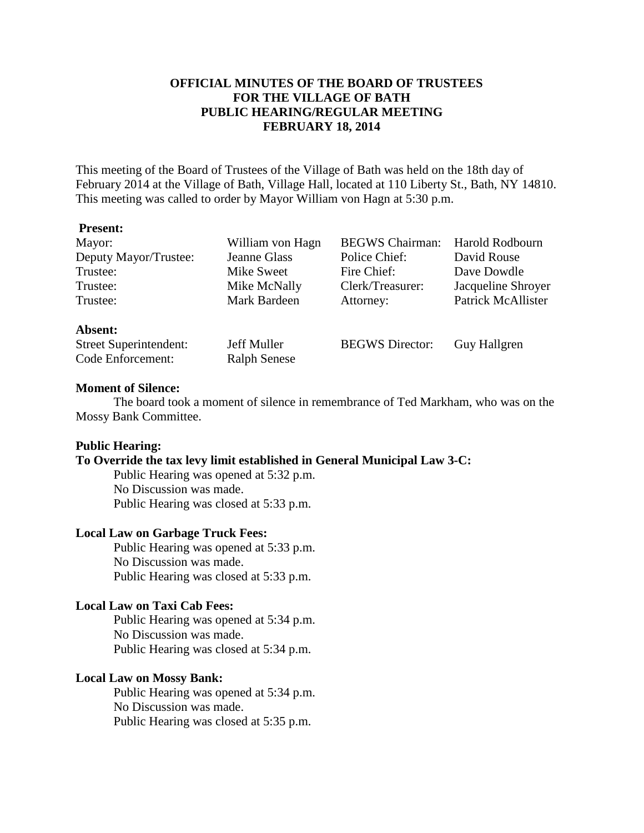## **OFFICIAL MINUTES OF THE BOARD OF TRUSTEES FOR THE VILLAGE OF BATH PUBLIC HEARING/REGULAR MEETING FEBRUARY 18, 2014**

This meeting of the Board of Trustees of the Village of Bath was held on the 18th day of February 2014 at the Village of Bath, Village Hall, located at 110 Liberty St., Bath, NY 14810. This meeting was called to order by Mayor William von Hagn at 5:30 p.m.

#### **Present:**

| Mayor:                        | William von Hagn    | <b>BEGWS</b> Chairman: | Harold Rodbourn    |
|-------------------------------|---------------------|------------------------|--------------------|
| Deputy Mayor/Trustee:         | Jeanne Glass        | Police Chief:          | David Rouse        |
| Trustee:                      | Mike Sweet          | Fire Chief:            | Dave Dowdle        |
| Trustee:                      | Mike McNally        | Clerk/Treasurer:       | Jacqueline Shroyer |
| Trustee:                      | Mark Bardeen        | Attorney:              | Patrick McAllister |
| Absent:                       |                     |                        |                    |
| <b>Street Superintendent:</b> | Jeff Muller         | <b>BEGWS</b> Director: | Guy Hallgren       |
| Code Enforcement:             | <b>Ralph Senese</b> |                        |                    |

#### **Moment of Silence:**

The board took a moment of silence in remembrance of Ted Markham, who was on the Mossy Bank Committee.

#### **Public Hearing:**

### **To Override the tax levy limit established in General Municipal Law 3-C:**

Public Hearing was opened at 5:32 p.m. No Discussion was made. Public Hearing was closed at 5:33 p.m.

#### **Local Law on Garbage Truck Fees:**

Public Hearing was opened at 5:33 p.m. No Discussion was made. Public Hearing was closed at 5:33 p.m.

#### **Local Law on Taxi Cab Fees:**

Public Hearing was opened at 5:34 p.m. No Discussion was made. Public Hearing was closed at 5:34 p.m.

#### **Local Law on Mossy Bank:**

Public Hearing was opened at 5:34 p.m. No Discussion was made. Public Hearing was closed at 5:35 p.m.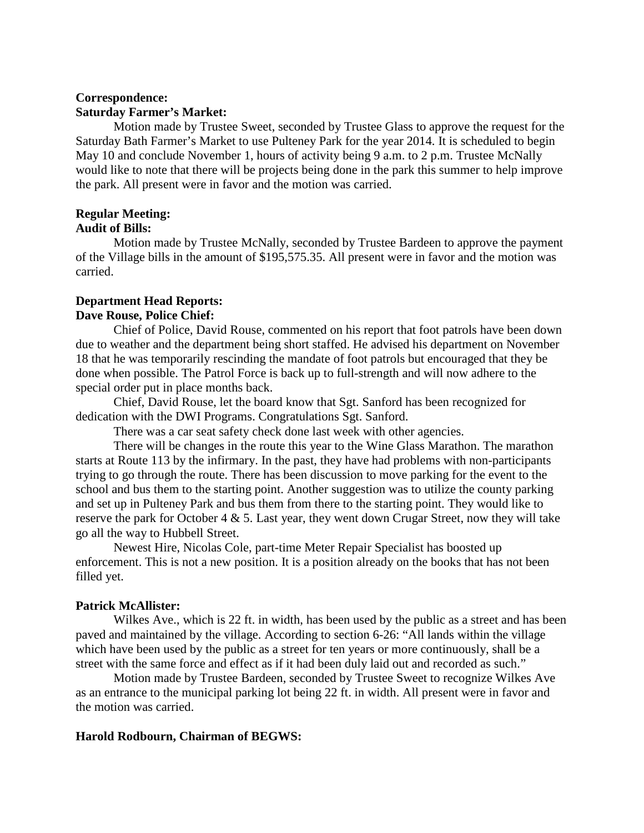# **Correspondence: Saturday Farmer's Market:**

Motion made by Trustee Sweet, seconded by Trustee Glass to approve the request for the Saturday Bath Farmer's Market to use Pulteney Park for the year 2014. It is scheduled to begin May 10 and conclude November 1, hours of activity being 9 a.m. to 2 p.m. Trustee McNally would like to note that there will be projects being done in the park this summer to help improve the park. All present were in favor and the motion was carried.

# **Regular Meeting:**

### **Audit of Bills:**

Motion made by Trustee McNally, seconded by Trustee Bardeen to approve the payment of the Village bills in the amount of \$195,575.35. All present were in favor and the motion was carried.

# **Department Head Reports: Dave Rouse, Police Chief:**

Chief of Police, David Rouse, commented on his report that foot patrols have been down due to weather and the department being short staffed. He advised his department on November 18 that he was temporarily rescinding the mandate of foot patrols but encouraged that they be done when possible. The Patrol Force is back up to full-strength and will now adhere to the special order put in place months back.

 Chief, David Rouse, let the board know that Sgt. Sanford has been recognized for dedication with the DWI Programs. Congratulations Sgt. Sanford.

There was a car seat safety check done last week with other agencies.

 There will be changes in the route this year to the Wine Glass Marathon. The marathon starts at Route 113 by the infirmary. In the past, they have had problems with non-participants trying to go through the route. There has been discussion to move parking for the event to the school and bus them to the starting point. Another suggestion was to utilize the county parking and set up in Pulteney Park and bus them from there to the starting point. They would like to reserve the park for October 4  $\&$  5. Last year, they went down Crugar Street, now they will take go all the way to Hubbell Street.

 Newest Hire, Nicolas Cole, part-time Meter Repair Specialist has boosted up enforcement. This is not a new position. It is a position already on the books that has not been filled yet.

### **Patrick McAllister:**

 Wilkes Ave., which is 22 ft. in width, has been used by the public as a street and has been paved and maintained by the village. According to section 6-26: "All lands within the village which have been used by the public as a street for ten years or more continuously, shall be a street with the same force and effect as if it had been duly laid out and recorded as such."

 Motion made by Trustee Bardeen, seconded by Trustee Sweet to recognize Wilkes Ave as an entrance to the municipal parking lot being 22 ft. in width. All present were in favor and the motion was carried.

### **Harold Rodbourn, Chairman of BEGWS:**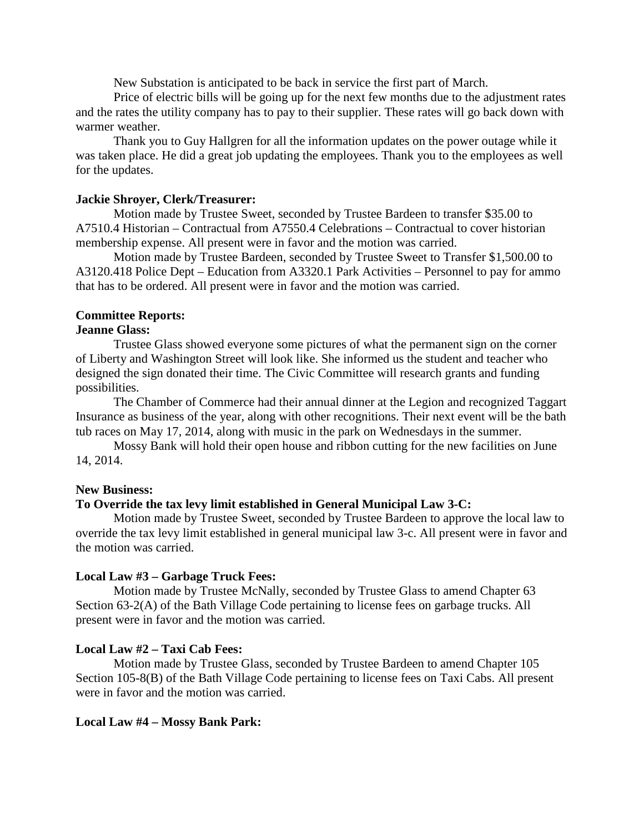New Substation is anticipated to be back in service the first part of March.

 Price of electric bills will be going up for the next few months due to the adjustment rates and the rates the utility company has to pay to their supplier. These rates will go back down with warmer weather.

 Thank you to Guy Hallgren for all the information updates on the power outage while it was taken place. He did a great job updating the employees. Thank you to the employees as well for the updates.

#### **Jackie Shroyer, Clerk/Treasurer:**

Motion made by Trustee Sweet, seconded by Trustee Bardeen to transfer \$35.00 to A7510.4 Historian – Contractual from A7550.4 Celebrations – Contractual to cover historian membership expense. All present were in favor and the motion was carried.

 Motion made by Trustee Bardeen, seconded by Trustee Sweet to Transfer \$1,500.00 to A3120.418 Police Dept – Education from A3320.1 Park Activities – Personnel to pay for ammo that has to be ordered. All present were in favor and the motion was carried.

#### **Committee Reports:**

#### **Jeanne Glass:**

Trustee Glass showed everyone some pictures of what the permanent sign on the corner of Liberty and Washington Street will look like. She informed us the student and teacher who designed the sign donated their time. The Civic Committee will research grants and funding possibilities.

 The Chamber of Commerce had their annual dinner at the Legion and recognized Taggart Insurance as business of the year, along with other recognitions. Their next event will be the bath tub races on May 17, 2014, along with music in the park on Wednesdays in the summer.

 Mossy Bank will hold their open house and ribbon cutting for the new facilities on June 14, 2014.

#### **New Business:**

### **To Override the tax levy limit established in General Municipal Law 3-C:**

Motion made by Trustee Sweet, seconded by Trustee Bardeen to approve the local law to override the tax levy limit established in general municipal law 3-c. All present were in favor and the motion was carried.

### **Local Law #3 – Garbage Truck Fees:**

Motion made by Trustee McNally, seconded by Trustee Glass to amend Chapter 63 Section 63-2(A) of the Bath Village Code pertaining to license fees on garbage trucks. All present were in favor and the motion was carried.

### **Local Law #2 – Taxi Cab Fees:**

Motion made by Trustee Glass, seconded by Trustee Bardeen to amend Chapter 105 Section 105-8(B) of the Bath Village Code pertaining to license fees on Taxi Cabs. All present were in favor and the motion was carried.

#### **Local Law #4 – Mossy Bank Park:**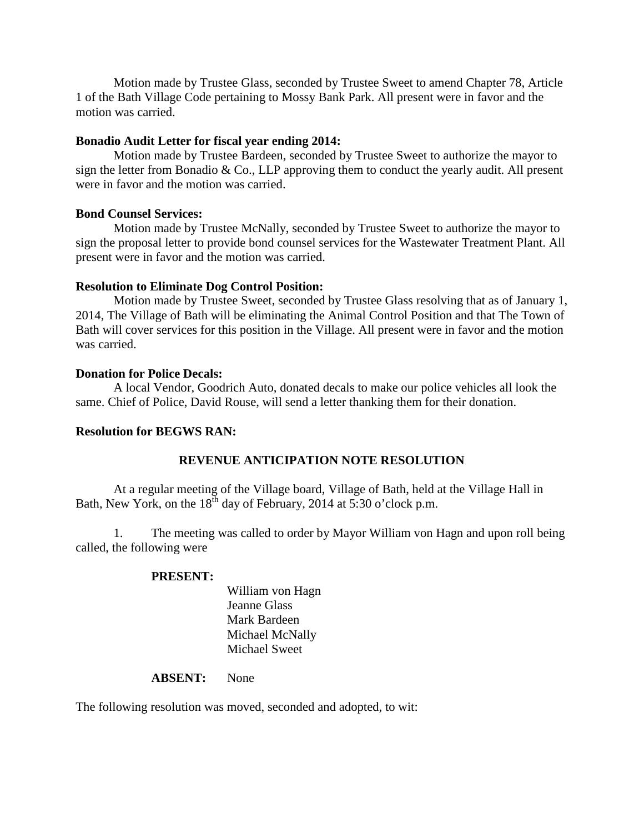Motion made by Trustee Glass, seconded by Trustee Sweet to amend Chapter 78, Article 1 of the Bath Village Code pertaining to Mossy Bank Park. All present were in favor and the motion was carried.

### **Bonadio Audit Letter for fiscal year ending 2014:**

 Motion made by Trustee Bardeen, seconded by Trustee Sweet to authorize the mayor to sign the letter from Bonadio & Co., LLP approving them to conduct the yearly audit. All present were in favor and the motion was carried.

### **Bond Counsel Services:**

 Motion made by Trustee McNally, seconded by Trustee Sweet to authorize the mayor to sign the proposal letter to provide bond counsel services for the Wastewater Treatment Plant. All present were in favor and the motion was carried.

### **Resolution to Eliminate Dog Control Position:**

 Motion made by Trustee Sweet, seconded by Trustee Glass resolving that as of January 1, 2014, The Village of Bath will be eliminating the Animal Control Position and that The Town of Bath will cover services for this position in the Village. All present were in favor and the motion was carried.

### **Donation for Police Decals:**

 A local Vendor, Goodrich Auto, donated decals to make our police vehicles all look the same. Chief of Police, David Rouse, will send a letter thanking them for their donation.

### **Resolution for BEGWS RAN:**

### **REVENUE ANTICIPATION NOTE RESOLUTION**

 At a regular meeting of the Village board, Village of Bath, held at the Village Hall in Bath, New York, on the  $18^{th}$  day of February, 2014 at 5:30 o'clock p.m.

 1. The meeting was called to order by Mayor William von Hagn and upon roll being called, the following were

### **PRESENT:**

 William von Hagn Jeanne Glass Mark Bardeen Michael McNally Michael Sweet

#### **ABSENT:** None

The following resolution was moved, seconded and adopted, to wit: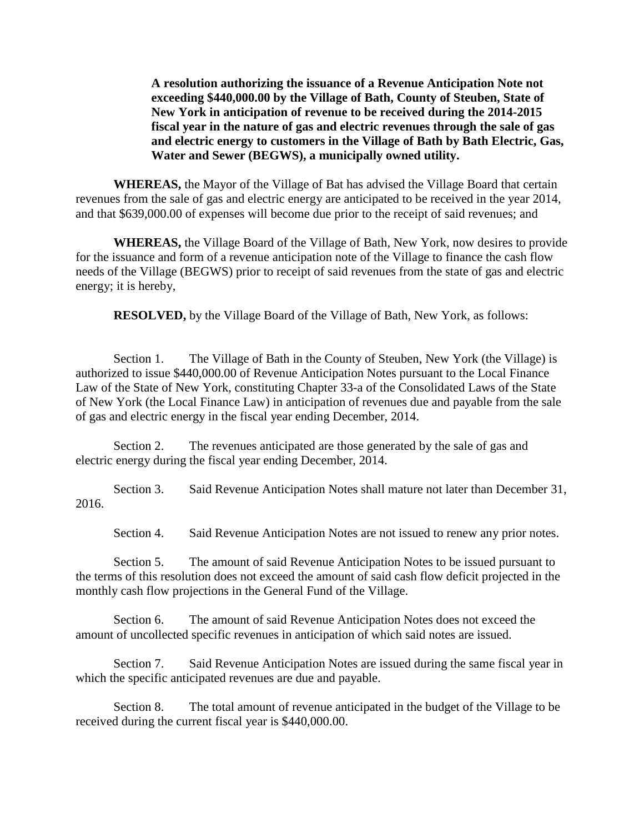**A resolution authorizing the issuance of a Revenue Anticipation Note not exceeding \$440,000.00 by the Village of Bath, County of Steuben, State of New York in anticipation of revenue to be received during the 2014-2015 fiscal year in the nature of gas and electric revenues through the sale of gas and electric energy to customers in the Village of Bath by Bath Electric, Gas, Water and Sewer (BEGWS), a municipally owned utility.** 

 **WHEREAS,** the Mayor of the Village of Bat has advised the Village Board that certain revenues from the sale of gas and electric energy are anticipated to be received in the year 2014, and that \$639,000.00 of expenses will become due prior to the receipt of said revenues; and

**WHEREAS,** the Village Board of the Village of Bath, New York, now desires to provide for the issuance and form of a revenue anticipation note of the Village to finance the cash flow needs of the Village (BEGWS) prior to receipt of said revenues from the state of gas and electric energy; it is hereby,

**RESOLVED,** by the Village Board of the Village of Bath, New York, as follows:

 Section 1. The Village of Bath in the County of Steuben, New York (the Village) is authorized to issue \$440,000.00 of Revenue Anticipation Notes pursuant to the Local Finance Law of the State of New York, constituting Chapter 33-a of the Consolidated Laws of the State of New York (the Local Finance Law) in anticipation of revenues due and payable from the sale of gas and electric energy in the fiscal year ending December, 2014.

 Section 2. The revenues anticipated are those generated by the sale of gas and electric energy during the fiscal year ending December, 2014.

 Section 3. Said Revenue Anticipation Notes shall mature not later than December 31, 2016.

Section 4. Said Revenue Anticipation Notes are not issued to renew any prior notes.

 Section 5. The amount of said Revenue Anticipation Notes to be issued pursuant to the terms of this resolution does not exceed the amount of said cash flow deficit projected in the monthly cash flow projections in the General Fund of the Village.

 Section 6. The amount of said Revenue Anticipation Notes does not exceed the amount of uncollected specific revenues in anticipation of which said notes are issued.

 Section 7. Said Revenue Anticipation Notes are issued during the same fiscal year in which the specific anticipated revenues are due and payable.

 Section 8. The total amount of revenue anticipated in the budget of the Village to be received during the current fiscal year is \$440,000.00.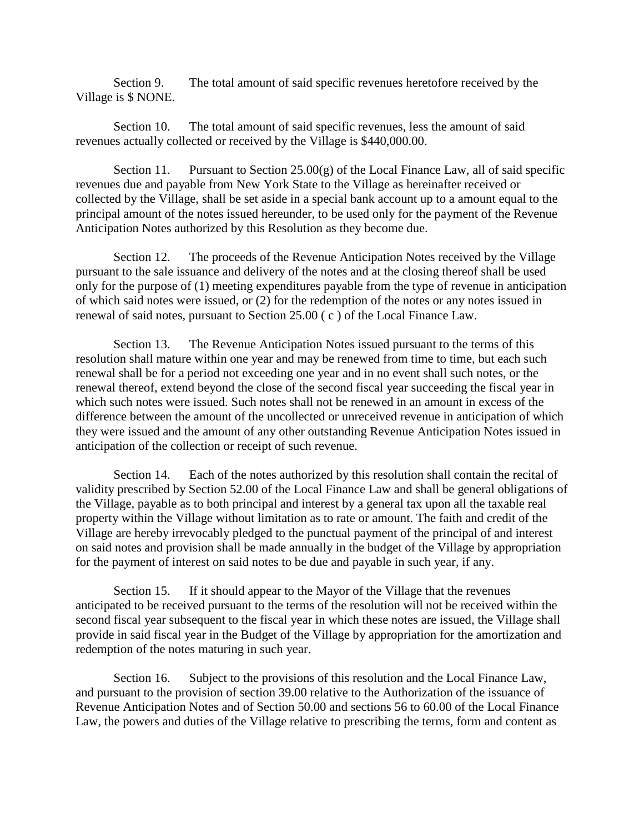Section 9. The total amount of said specific revenues heretofore received by the Village is \$ NONE.

 Section 10. The total amount of said specific revenues, less the amount of said revenues actually collected or received by the Village is \$440,000.00.

Section 11. Pursuant to Section  $25.00(g)$  of the Local Finance Law, all of said specific revenues due and payable from New York State to the Village as hereinafter received or collected by the Village, shall be set aside in a special bank account up to a amount equal to the principal amount of the notes issued hereunder, to be used only for the payment of the Revenue Anticipation Notes authorized by this Resolution as they become due.

 Section 12. The proceeds of the Revenue Anticipation Notes received by the Village pursuant to the sale issuance and delivery of the notes and at the closing thereof shall be used only for the purpose of (1) meeting expenditures payable from the type of revenue in anticipation of which said notes were issued, or (2) for the redemption of the notes or any notes issued in renewal of said notes, pursuant to Section 25.00 ( c ) of the Local Finance Law.

 Section 13. The Revenue Anticipation Notes issued pursuant to the terms of this resolution shall mature within one year and may be renewed from time to time, but each such renewal shall be for a period not exceeding one year and in no event shall such notes, or the renewal thereof, extend beyond the close of the second fiscal year succeeding the fiscal year in which such notes were issued. Such notes shall not be renewed in an amount in excess of the difference between the amount of the uncollected or unreceived revenue in anticipation of which they were issued and the amount of any other outstanding Revenue Anticipation Notes issued in anticipation of the collection or receipt of such revenue.

 Section 14. Each of the notes authorized by this resolution shall contain the recital of validity prescribed by Section 52.00 of the Local Finance Law and shall be general obligations of the Village, payable as to both principal and interest by a general tax upon all the taxable real property within the Village without limitation as to rate or amount. The faith and credit of the Village are hereby irrevocably pledged to the punctual payment of the principal of and interest on said notes and provision shall be made annually in the budget of the Village by appropriation for the payment of interest on said notes to be due and payable in such year, if any.

 Section 15. If it should appear to the Mayor of the Village that the revenues anticipated to be received pursuant to the terms of the resolution will not be received within the second fiscal year subsequent to the fiscal year in which these notes are issued, the Village shall provide in said fiscal year in the Budget of the Village by appropriation for the amortization and redemption of the notes maturing in such year.

 Section 16. Subject to the provisions of this resolution and the Local Finance Law, and pursuant to the provision of section 39.00 relative to the Authorization of the issuance of Revenue Anticipation Notes and of Section 50.00 and sections 56 to 60.00 of the Local Finance Law, the powers and duties of the Village relative to prescribing the terms, form and content as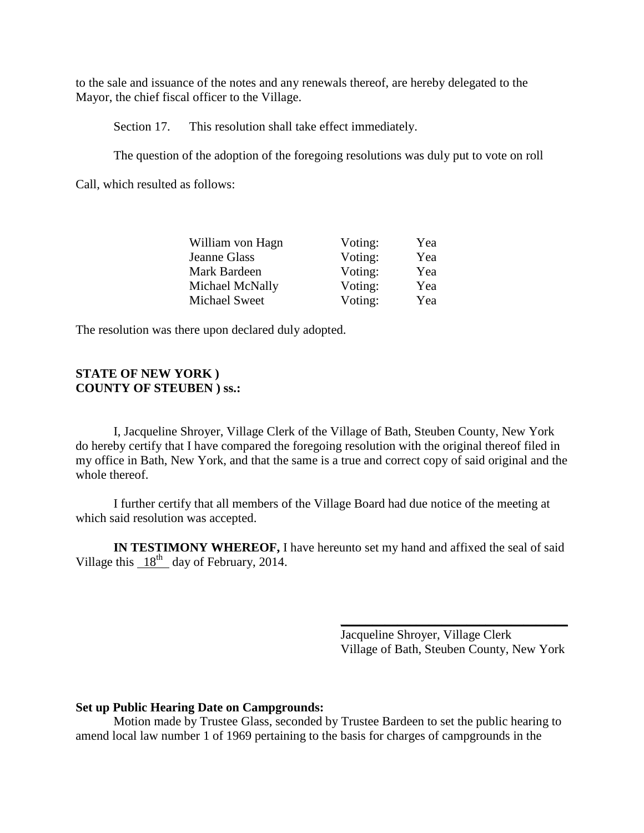to the sale and issuance of the notes and any renewals thereof, are hereby delegated to the Mayor, the chief fiscal officer to the Village.

Section 17. This resolution shall take effect immediately.

The question of the adoption of the foregoing resolutions was duly put to vote on roll

Call, which resulted as follows:

| William von Hagn | Voting: | Yea |
|------------------|---------|-----|
| Jeanne Glass     | Voting: | Yea |
| Mark Bardeen     | Voting: | Yea |
| Michael McNally  | Voting: | Yea |
| Michael Sweet    | Voting: | Yea |

The resolution was there upon declared duly adopted.

### **STATE OF NEW YORK ) COUNTY OF STEUBEN ) ss.:**

I, Jacqueline Shroyer, Village Clerk of the Village of Bath, Steuben County, New York do hereby certify that I have compared the foregoing resolution with the original thereof filed in my office in Bath, New York, and that the same is a true and correct copy of said original and the whole thereof.

 I further certify that all members of the Village Board had due notice of the meeting at which said resolution was accepted.

**IN TESTIMONY WHEREOF,** I have hereunto set my hand and affixed the seal of said Village this  $18^{th}$  day of February, 2014.

 $\overline{\phantom{a}}$ 

 Jacqueline Shroyer, Village Clerk Village of Bath, Steuben County, New York

### **Set up Public Hearing Date on Campgrounds:**

Motion made by Trustee Glass, seconded by Trustee Bardeen to set the public hearing to amend local law number 1 of 1969 pertaining to the basis for charges of campgrounds in the